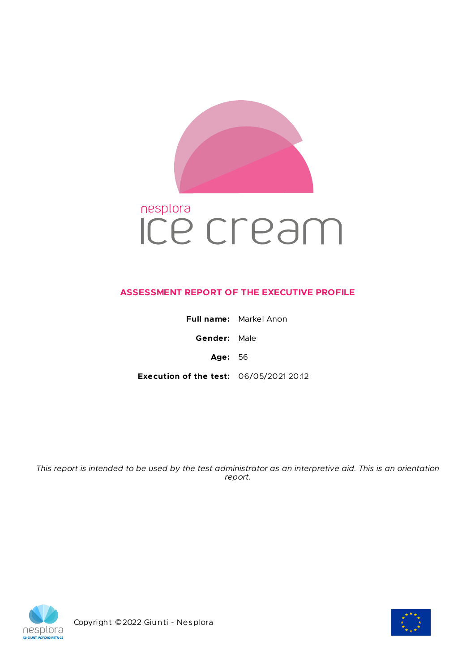

# nesplora ICE cream

# **ASSESSMENT REPORT OF THE EXECUTIVE PROFILE**

**Full name:** Markel Anon

**Gender:** Male

**Age:** 56

**Execution of the test:** 06/05/2021 20:12

This report is intended to be used by the test administrator as an interpretive aid. This is an orientation *report.*



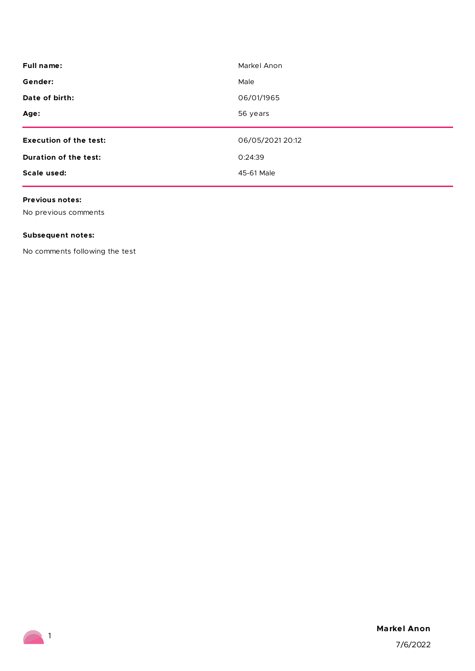| <b>Full name:</b>             | Markel Anon      |
|-------------------------------|------------------|
| Gender:                       | Male             |
| Date of birth:                | 06/01/1965       |
| Age:                          | 56 years         |
|                               |                  |
| <b>Execution of the test:</b> | 06/05/2021 20:12 |
| Duration of the test:         | 0:24:39          |
| Scale used:                   |                  |

## **Previous notes:**

No previous comments

# **Subsequent notes:**

**1** 

No comments following the test

# **Markel Anon**

7/6/2022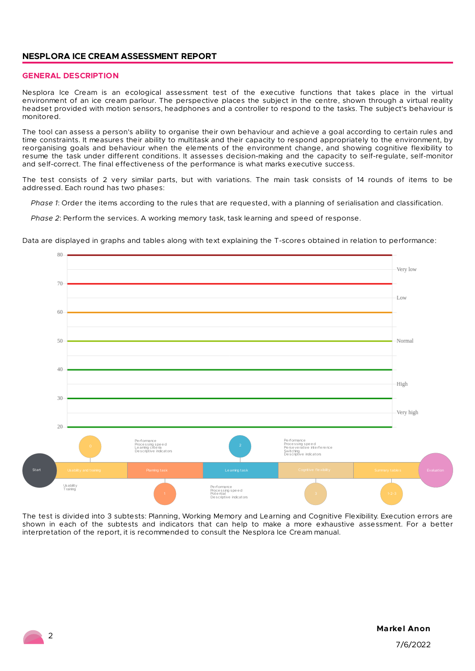## **NESPLORA ICE CREAM ASSESSMENT REPORT**

#### **GENERAL DESCRIPTION**

Nesplora Ice Cream is an ecological assessment test of the executive functions that takes place in the virtual environment of an ice cream parlour. The perspective places the subject in the centre, shown through a virtual reality headset provided with motion sensors, headphones and a controller to respond to the tasks. The subject's behaviour is monitored.

The tool can assess a person's ability to organise their own behaviour and achieve a goal according to certain rules and time constraints. It measures their ability to multitask and their capacity to respond appropriately to the environment, by reorganising goals and behaviour when the elements of the environment change, and showing cognitive flexibility to resume the task under different conditions. It assesses decision-making and the capacity to self-regulate, self-monitor and self-correct. The final effectiveness of the performance is what marks executive success.

The test consists of 2 very similar parts, but with variations. The main task consists of 14 rounds of items to be addressed. Each round has two phases:

*Phase 1*: Order the items according to the rules that are requested, with a planning of serialisation and classification.

*Phase 2*: Perform the services. A working memory task, task learning and speed of response.

Data are displayed in graphs and tables along with text explaining the T-scores obtained in relation to performance:



The test is divided into 3 subtests: Planning, Working Memory and Learning and Cognitive Flexibility. Execution errors are shown in each of the subtests and indicators that can help to make a more exhaustive assessment. For a better interpretation of the report, it is recommended to consult the Nesplora Ice Cream manual.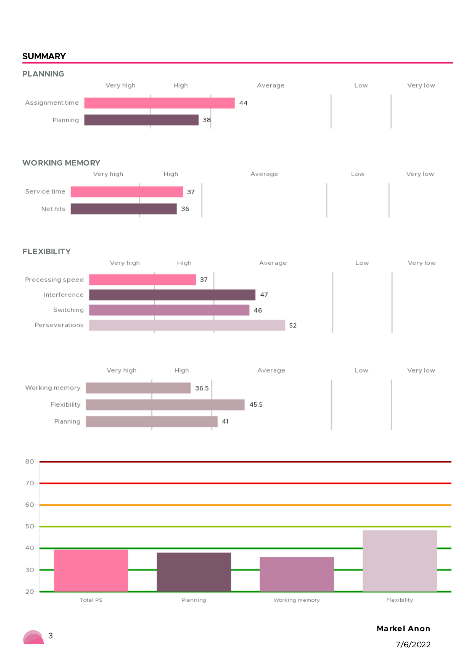# **SUMMARY**



Average

#### **WORKING MEMORY**





# **FLEXIBILITY**







# **Markel Anon**

7/6/2022

3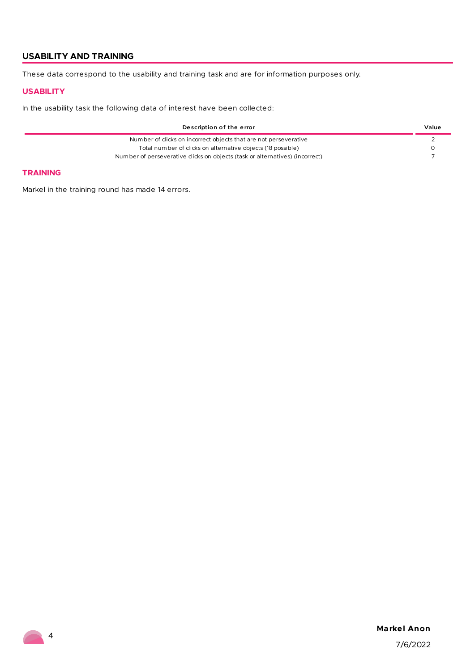# **USABILITY AND TRAINING**

These data correspond to the usability and training task and are for information purposes only.

## **USABILITY**

In the usability task the following data of interest have been collected:

| Description of the error                                                     | Value |
|------------------------------------------------------------------------------|-------|
| Number of clicks on incorrect objects that are not perseverative             |       |
| Total number of clicks on alternative objects (18 possible)                  |       |
| Number of perseverative clicks on objects (task or alternatives) (incorrect) |       |

# **TRAINING**

Markel in the training round has made 14 errors.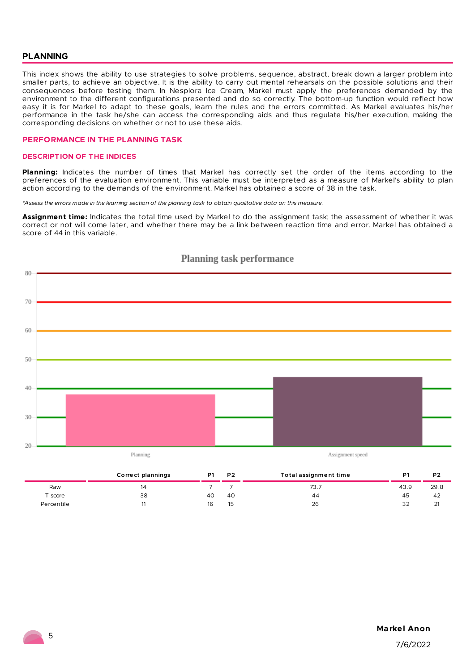## **PLANNING**

This index shows the ability to use strategies to solve problems, sequence, abstract, break down a larger problem into smaller parts, to achieve an objective. It is the ability to carry out mental rehearsals on the possible solutions and their consequences before testing them. In Nesplora Ice Cream, Markel must apply the preferences demanded by the environment to the different configurations presented and do so correctly. The bottom-up function would reflect how easy it is for Markel to adapt to these goals, learn the rules and the errors committed. As Markel evaluates his/her performance in the task he/she can access the corresponding aids and thus regulate his/her execution, making the corresponding decisions on whether or not to use these aids.

#### **PERFORMANCE IN THE PLANNING TASK**

#### **DESCRIPTION OF THE INDICES**

**Planning:** Indicates the number of times that Markel has correctly set the order of the items according to the preferences of the evaluation environment. This variable must be interpreted as a measure of Markel's ability to plan action according to the demands of the environment. Markel has obtained a score of 38 in the task.

\*Assess the errors made in the learning section of the planning task to obtain qualitative data on this measure.

**Assignment time:** Indicates the total time used by Markel to do the assignment task; the assessment of whether it was correct or not will come later, and whether there may be a link between reaction time and error. Markel has obtained a score of 44 in this variable.



T score 38 40 40 44 45 42 Percentile 11 16 15 26 32 21

## Planning task performance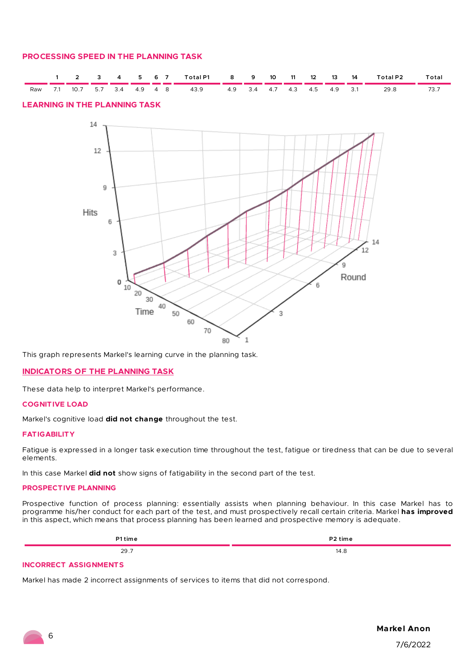## **PROCESSING SPEED IN THE PLANNING TASK**



# **LEARNING IN THE PLANNING TASK**



This graph represents Markel's learning curve in the planning task.

#### **INDICATORS OF THE PLANNING TASK**

These data help to interpret Markel's performance.

#### **COGNITIVE LOAD**

Markel's cognitive load **did not change** throughout the test.

### **FATIGABILITY**

Fatigue is expressed in a longer task execution time throughout the test, fatigue or tiredness that can be due to several elements.

In this case Markel **did not** show signs of fatigability in the second part of the test.

#### **PROSPECTIVE PLANNING**

Prospective function of process planning: essentially assists when planning behaviour. In this case Markel has to programme his/her conduct for each part of the test, and must prospectively recall certain criteria. Markel **has improved** in this aspect, which means that process planning has been learned and prospective memory is adequate.

| $ -$ | D <sub>2</sub><br>! time<br>------<br>the contract of the contract of the contract of the contract of the contract of |
|------|-----------------------------------------------------------------------------------------------------------------------|
| 29.7 | .                                                                                                                     |

## **INCORRECT ASSIGNMENTS**

Markel has made 2 incorrect assignments of services to items that did not correspond.

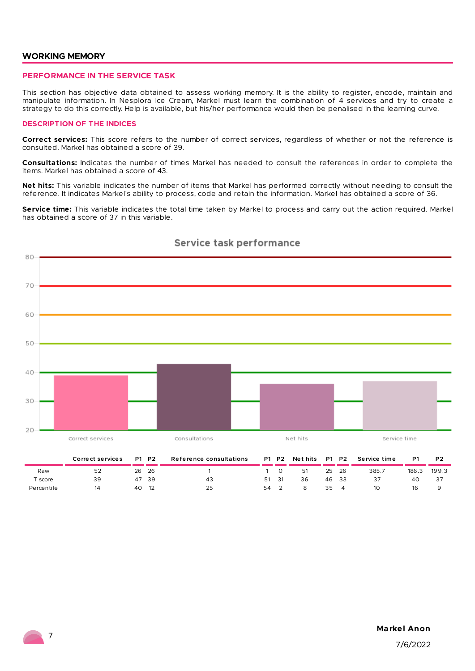### **WORKING MEMORY**

#### **PERFORMANCE IN THE SERVICE TASK**

This section has objective data obtained to assess working memory. It is the ability to register, encode, maintain and manipulate information. In Nesplora Ice Cream, Markel must learn the combination of 4 services and try to create a strategy to do this correctly. Help is available, but his/her performance would then be penalised in the learning curve.

#### **DESCRIPTION OF THE INDICES**

**Correct services:** This score refers to the number of correct services, regardless of whether or not the reference is consulted. Markel has obtained a score of 39.

**Consultations:** Indicates the number of times Markel has needed to consult the references in order to complete the items. Markel has obtained a score of 43.

**Net hits:** This variable indicates the number of items that Markel has performed correctly without needing to consult the reference. It indicates Markel's ability to process, code and retain the information. Markel has obtained a score of 36.

**Service time:** This variable indicates the total time taken by Markel to process and carry out the action required. Markel has obtained a score of 37 in this variable.



Percentile 14 40 12 25 54 2 8 35 4 10 16 9

# Service task performance

#### **Markel Anon**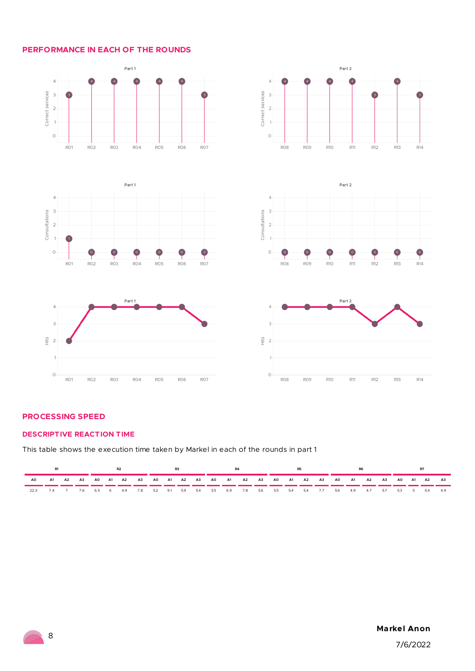## **PERFORMANCE IN EACH OF THE ROUNDS**



# **PROCESSING SPEED**

#### **DESCRIPTIVE REACTION TIME**

This table shows the execution time taken by Markel in each of the rounds in part 1

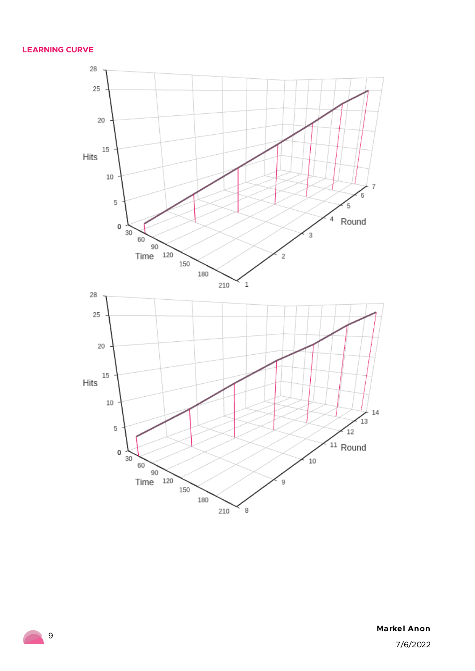# **LEARNING CURVE**



**Markel Anon**

7/6/2022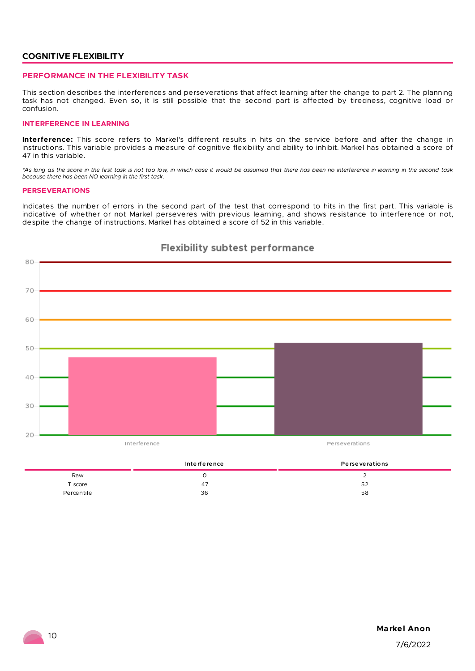## **COGNITIVE FLEXIBILITY**

#### **PERFORMANCE IN THE FLEXIBILITY TASK**

This section describes the interferences and perseverations that affect learning after the change to part 2. The planning task has not changed. Even so, it is still possible that the second part is affected by tiredness, cognitive load or confusion.

#### **INTERFERENCE IN LEARNING**

**Interference:** This score refers to Markel's different results in hits on the service before and after the change in instructions. This variable provides a measure of cognitive flexibility and ability to inhibit. Markel has obtained a score of 47 in this variable.

\*As long as the score in the first task is not too low, in which case it would be assumed that there has been no interference in learning in the second task *because there has been NO learning in the first task.*

#### **PERSEVERATIONS**

Indicates the number of errors in the second part of the test that correspond to hits in the first part. This variable is indicative of whether or not Markel perseveres with previous learning, and shows resistance to interference or not, despite the change of instructions. Markel has obtained a score of 52 in this variable.



# **Flexibility subtest performance**

|            | Interference | <b>Perseverations</b> |
|------------|--------------|-----------------------|
| Raw        |              |                       |
| score      | 47           | 52                    |
| Percentile | 36           | 58                    |